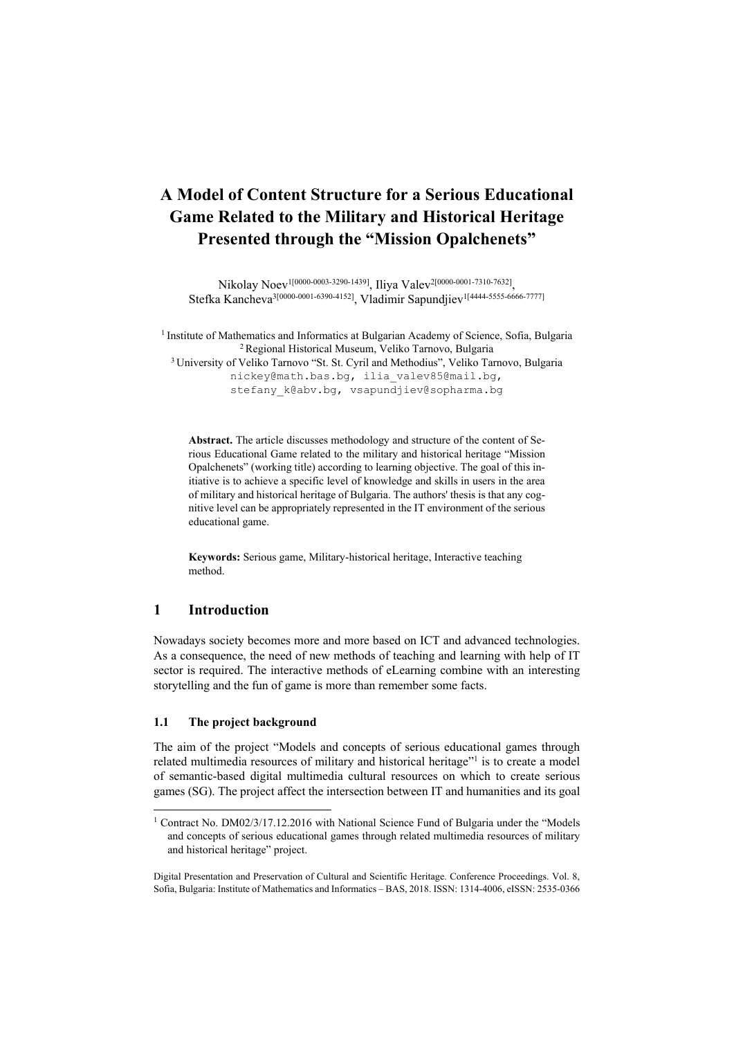# **A Model of Content Structure for a Serious Educational Game Related to the Military and Historical Heritage Presented through the "Mission Opalchenets"**

Nikolay Noev1[0000-0003-3290-1439], Iliya Valev2[0000-0001-7310-7632], Stefka Kancheva<sup>3[0000-0001-6390-4152]</sup>, Vladimir Sapundjiev<sup>1[4444-5555-6666-7777]</sup>

<sup>1</sup> Institute of Mathematics and Informatics at Bulgarian Academy of Science, Sofia, Bulgaria<br><sup>2</sup> Regional Historical Museum, Veliko Tarnovo, Bulgaria<br><sup>3</sup> University of Veliko Tarnovo "St. St. Cyril and Methodius", Veliko nickey@math.bas.bg, ilia\_valev85@mail.bg, stefany k@abv.bq, vsapundjiev@sopharma.bg

**Abstract.** The article discusses methodology and structure of the content of Serious Educational Game related to the military and historical heritage "Mission Opalchenets" (working title) according to learning objective. The goal of this initiative is to achieve a specific level of knowledge and skills in users in the area of military and historical heritage of Bulgaria. The authors' thesis is that any cognitive level can be appropriately represented in the IT environment of the serious educational game.

**Keywords:** Serious game, Military-historical heritage, Interactive teaching method.

# **1 Introduction**

 $\overline{a}$ 

Nowadays society becomes more and more based on ICT and advanced technologies. As a consequence, the need of new methods of teaching and learning with help of IT sector is required. The interactive methods of eLearning combine with an interesting storytelling and the fun of game is more than remember some facts.

# **1.1 The project background**

The aim of the project "Models and concepts of serious educational games through related multimedia resources of military and historical heritage"<sup>1</sup> is to create a model of semantic-based digital multimedia cultural resources on which to create serious games (SG). The project affect the intersection between IT and humanities and its goal

<sup>&</sup>lt;sup>1</sup> Contract No. DM02/3/17.12.2016 with National Science Fund of Bulgaria under the "Models and concepts of serious educational games through related multimedia resources of military and historical heritage" project.

Digital Presentation and Preservation of Cultural and Scientific Heritage. Conference Proceedings. Vol. 8, Sofia, Bulgaria: Institute of Mathematics and Informatics – BAS, 2018. ISSN: 1314-4006, eISSN: 2535-0366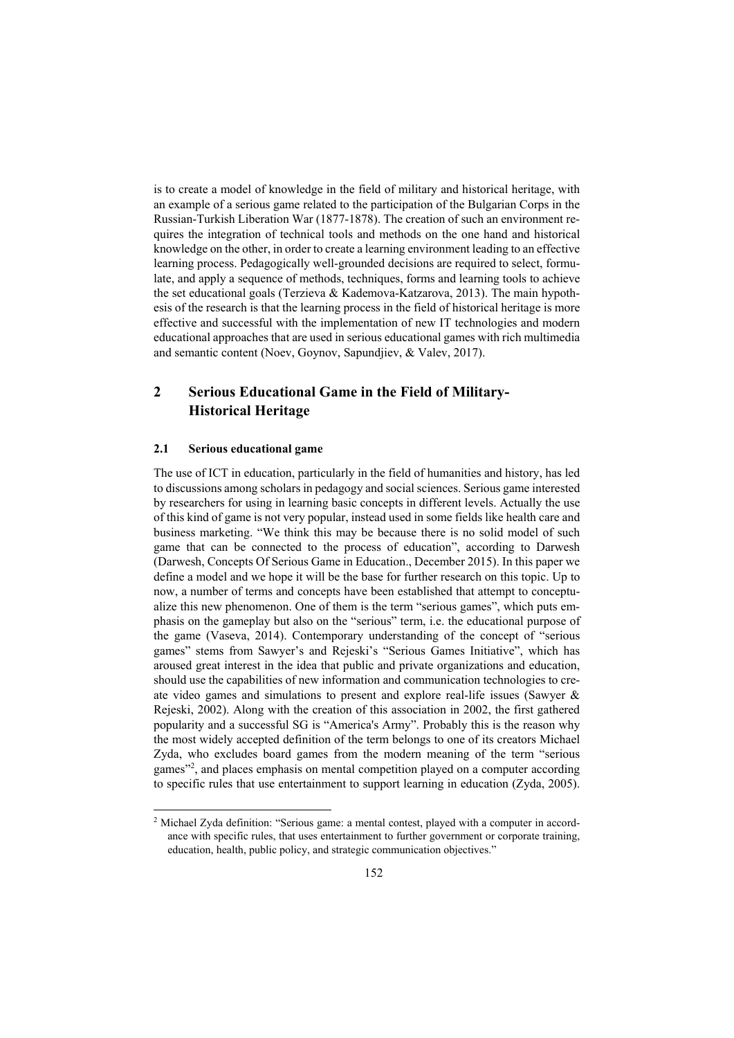is to create a model of knowledge in the field of military and historical heritage, with an example of a serious game related to the participation of the Bulgarian Corps in the Russian-Turkish Liberation War (1877-1878). The creation of such an environment requires the integration of technical tools and methods on the one hand and historical knowledge on the other, in order to create a learning environment leading to an effective learning process. Pedagogically well-grounded decisions are required to select, formulate, and apply a sequence of methods, techniques, forms and learning tools to achieve the set educational goals (Terzieva & Kademova-Katzarova, 2013). The main hypothesis of the research is that the learning process in the field of historical heritage is more effective and successful with the implementation of new IT technologies and modern educational approaches that are used in serious educational games with rich multimedia and semantic content (Noev, Goynov, Sapundjiev, & Valev, 2017).

# **2 Serious Educational Game in the Field of Military-Historical Heritage**

#### **2.1 Serious educational game**

 $\overline{a}$ 

The use of ICT in education, particularly in the field of humanities and history, has led to discussions among scholars in pedagogy and social sciences. Serious game interested by researchers for using in learning basic concepts in different levels. Actually the use of this kind of game is not very popular, instead used in some fields like health care and business marketing. "We think this may be because there is no solid model of such game that can be connected to the process of education", according to Darwesh (Darwesh, Concepts Of Serious Game in Education., December 2015). In this paper we define a model and we hope it will be the base for further research on this topic. Up to now, a number of terms and concepts have been established that attempt to conceptualize this new phenomenon. One of them is the term "serious games", which puts emphasis on the gameplay but also on the "serious" term, i.e. the educational purpose of the game (Vaseva, 2014). Contemporary understanding of the concept of "serious games" stems from Sawyer's and Rejeski's "Serious Games Initiative", which has aroused great interest in the idea that public and private organizations and education, should use the capabilities of new information and communication technologies to create video games and simulations to present and explore real-life issues (Sawyer & Rejeski, 2002). Along with the creation of this association in 2002, the first gathered popularity and a successful SG is "America's Army". Probably this is the reason why the most widely accepted definition of the term belongs to one of its creators Michael Zyda, who excludes board games from the modern meaning of the term "serious games"2 , and places emphasis on mental competition played on a computer according to specific rules that use entertainment to support learning in education (Zyda, 2005).

<sup>2</sup> Michael Zyda definition: "Serious game: a mental contest, played with a computer in accordance with specific rules, that uses entertainment to further government or corporate training, education, health, public policy, and strategic communication objectives."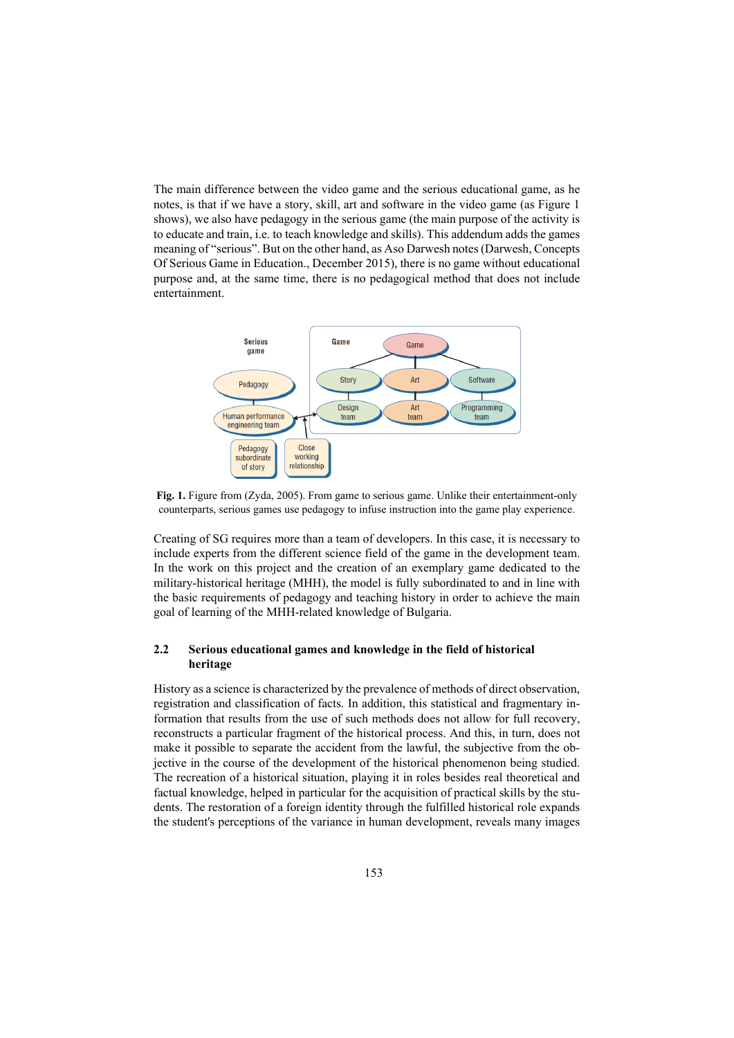The main difference between the video game and the serious educational game, as he notes, is that if we have a story, skill, art and software in the video game (as Figure 1 shows), we also have pedagogy in the serious game (the main purpose of the activity is to educate and train, i.e. to teach knowledge and skills). This addendum adds the games meaning of "serious". But on the other hand, as Aso Darwesh notes (Darwesh, Concepts Of Serious Game in Education., December 2015), there is no game without educational purpose and, at the same time, there is no pedagogical method that does not include entertainment.



**Fig. 1.** Figure from (Zyda, 2005). From game to serious game. Unlike their entertainment-only counterparts, serious games use pedagogy to infuse instruction into the game play experience.

Creating of SG requires more than a team of developers. In this case, it is necessary to include experts from the different science field of the game in the development team. In the work on this project and the creation of an exemplary game dedicated to the military-historical heritage (MHH), the model is fully subordinated to and in line with the basic requirements of pedagogy and teaching history in order to achieve the main goal of learning of the MHH-related knowledge of Bulgaria.

## **2.2 Serious educational games and knowledge in the field of historical heritage**

History as a science is characterized by the prevalence of methods of direct observation, registration and classification of facts. In addition, this statistical and fragmentary information that results from the use of such methods does not allow for full recovery, reconstructs a particular fragment of the historical process. And this, in turn, does not make it possible to separate the accident from the lawful, the subjective from the objective in the course of the development of the historical phenomenon being studied. The recreation of a historical situation, playing it in roles besides real theoretical and factual knowledge, helped in particular for the acquisition of practical skills by the students. The restoration of a foreign identity through the fulfilled historical role expands the student's perceptions of the variance in human development, reveals many images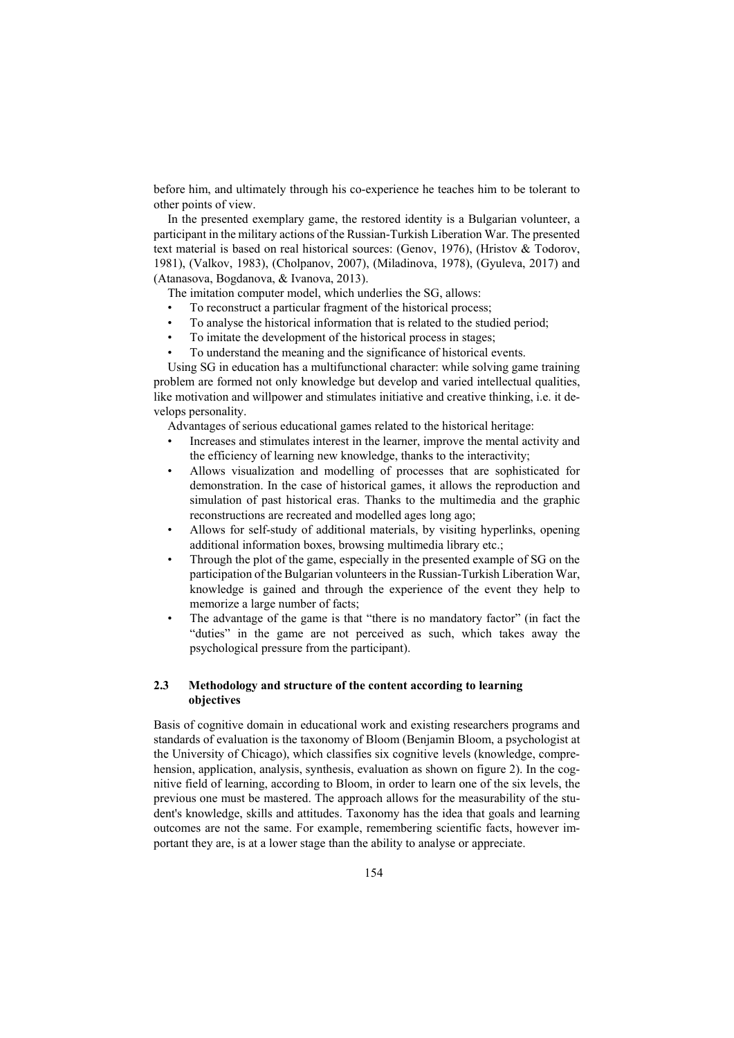before him, and ultimately through his co-experience he teaches him to be tolerant to other points of view.

In the presented exemplary game, the restored identity is a Bulgarian volunteer, a participant in the military actions of the Russian-Turkish Liberation War. The presented text material is based on real historical sources: (Genov, 1976), (Hristov & Todorov, 1981), (Valkov, 1983), (Cholpanov, 2007), (Miladinova, 1978), (Gyuleva, 2017) and (Atanasova, Bogdanova, & Ivanova, 2013).

The imitation computer model, which underlies the SG, allows:

- To reconstruct a particular fragment of the historical process;
- To analyse the historical information that is related to the studied period;
- To imitate the development of the historical process in stages;
- To understand the meaning and the significance of historical events.

Using SG in education has a multifunctional character: while solving game training problem are formed not only knowledge but develop and varied intellectual qualities, like motivation and willpower and stimulates initiative and creative thinking, i.e. it develops personality.

Advantages of serious educational games related to the historical heritage:

- Increases and stimulates interest in the learner, improve the mental activity and the efficiency of learning new knowledge, thanks to the interactivity;
- Allows visualization and modelling of processes that are sophisticated for demonstration. In the case of historical games, it allows the reproduction and simulation of past historical eras. Thanks to the multimedia and the graphic reconstructions are recreated and modelled ages long ago;
- Allows for self-study of additional materials, by visiting hyperlinks, opening additional information boxes, browsing multimedia library etc.;
- Through the plot of the game, especially in the presented example of SG on the participation of the Bulgarian volunteers in the Russian-Turkish Liberation War, knowledge is gained and through the experience of the event they help to memorize a large number of facts;
- The advantage of the game is that "there is no mandatory factor" (in fact the "duties" in the game are not perceived as such, which takes away the psychological pressure from the participant).

# **2.3 Methodology and structure of the content according to learning objectives**

Basis of cognitive domain in educational work and existing researchers programs and standards of evaluation is the taxonomy of Bloom (Benjamin Bloom, a psychologist at the University of Chicago), which classifies six cognitive levels (knowledge, comprehension, application, analysis, synthesis, evaluation as shown on figure 2). In the cognitive field of learning, according to Bloom, in order to learn one of the six levels, the previous one must be mastered. The approach allows for the measurability of the student's knowledge, skills and attitudes. Taxonomy has the idea that goals and learning outcomes are not the same. For example, remembering scientific facts, however important they are, is at a lower stage than the ability to analyse or appreciate.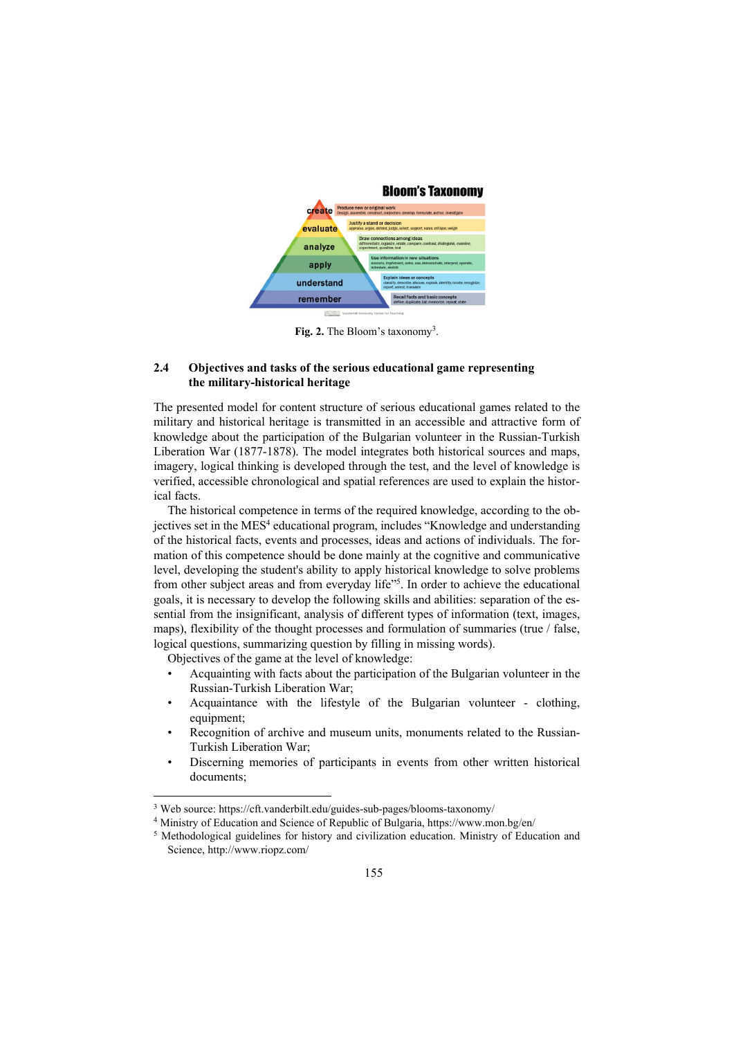

Fig. 2. The Bloom's taxonomy<sup>3</sup>.

#### **2.4 Objectives and tasks of the serious educational game representing the military-historical heritage**

The presented model for content structure of serious educational games related to the military and historical heritage is transmitted in an accessible and attractive form of knowledge about the participation of the Bulgarian volunteer in the Russian-Turkish Liberation War (1877-1878). The model integrates both historical sources and maps, imagery, logical thinking is developed through the test, and the level of knowledge is verified, accessible chronological and spatial references are used to explain the historical facts.

The historical competence in terms of the required knowledge, according to the objectives set in the MES<sup>4</sup> educational program, includes "Knowledge and understanding of the historical facts, events and processes, ideas and actions of individuals. The formation of this competence should be done mainly at the cognitive and communicative level, developing the student's ability to apply historical knowledge to solve problems from other subject areas and from everyday life"<sup>5</sup>. In order to achieve the educational goals, it is necessary to develop the following skills and abilities: separation of the essential from the insignificant, analysis of different types of information (text, images, maps), flexibility of the thought processes and formulation of summaries (true / false, logical questions, summarizing question by filling in missing words).

Objectives of the game at the level of knowledge:

 $\overline{a}$ 

- Acquainting with facts about the participation of the Bulgarian volunteer in the Russian-Turkish Liberation War;
- Acquaintance with the lifestyle of the Bulgarian volunteer clothing, equipment;
- Recognition of archive and museum units, monuments related to the Russian-Turkish Liberation War;
- Discerning memories of participants in events from other written historical documents;

<sup>3</sup> Web source: https://cft.vanderbilt.edu/guides-sub-pages/blooms-taxonomy/

<sup>&</sup>lt;sup>4</sup> Ministry of Education and Science of Republic of Bulgaria, https://www.mon.bg/en/<br><sup>5</sup> Methodological guidelines for history and civilization education. Ministry of Education and Science, http://www.riopz.com/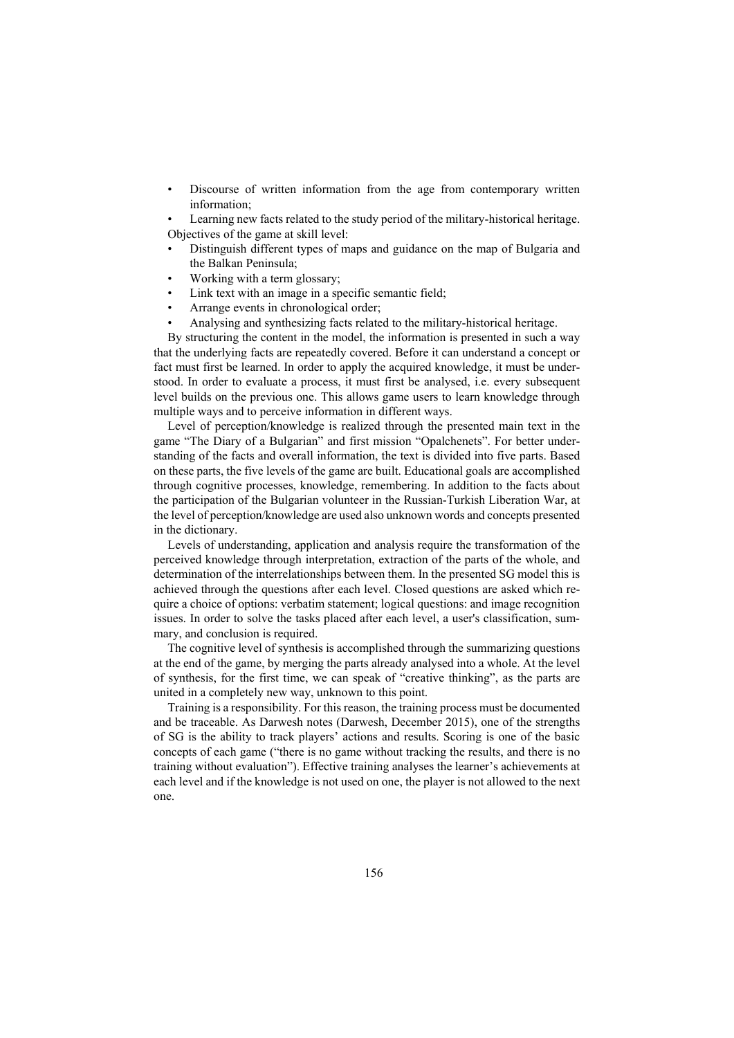Discourse of written information from the age from contemporary written information;

Learning new facts related to the study period of the military-historical heritage. Objectives of the game at skill level:

- Distinguish different types of maps and guidance on the map of Bulgaria and the Balkan Peninsula;
- Working with a term glossary;
- Link text with an image in a specific semantic field;
- Arrange events in chronological order;
- Analysing and synthesizing facts related to the military-historical heritage.

By structuring the content in the model, the information is presented in such a way that the underlying facts are repeatedly covered. Before it can understand a concept or fact must first be learned. In order to apply the acquired knowledge, it must be understood. In order to evaluate a process, it must first be analysed, i.e. every subsequent level builds on the previous one. This allows game users to learn knowledge through multiple ways and to perceive information in different ways.

Level of perception/knowledge is realized through the presented main text in the game "The Diary of a Bulgarian" and first mission "Opalchenets". For better understanding of the facts and overall information, the text is divided into five parts. Based on these parts, the five levels of the game are built. Educational goals are accomplished through cognitive processes, knowledge, remembering. In addition to the facts about the participation of the Bulgarian volunteer in the Russian-Turkish Liberation War, at the level of perception/knowledge are used also unknown words and concepts presented in the dictionary.

Levels of understanding, application and analysis require the transformation of the perceived knowledge through interpretation, extraction of the parts of the whole, and determination of the interrelationships between them. In the presented SG model this is achieved through the questions after each level. Closed questions are asked which require a choice of options: verbatim statement; logical questions: and image recognition issues. In order to solve the tasks placed after each level, a user's classification, summary, and conclusion is required.

The cognitive level of synthesis is accomplished through the summarizing questions at the end of the game, by merging the parts already analysed into a whole. At the level of synthesis, for the first time, we can speak of "creative thinking", as the parts are united in a completely new way, unknown to this point.

Training is a responsibility. For this reason, the training process must be documented and be traceable. As Darwesh notes (Darwesh, December 2015), one of the strengths of SG is the ability to track players' actions and results. Scoring is one of the basic concepts of each game ("there is no game without tracking the results, and there is no training without evaluation"). Effective training analyses the learner's achievements at each level and if the knowledge is not used on one, the player is not allowed to the next one.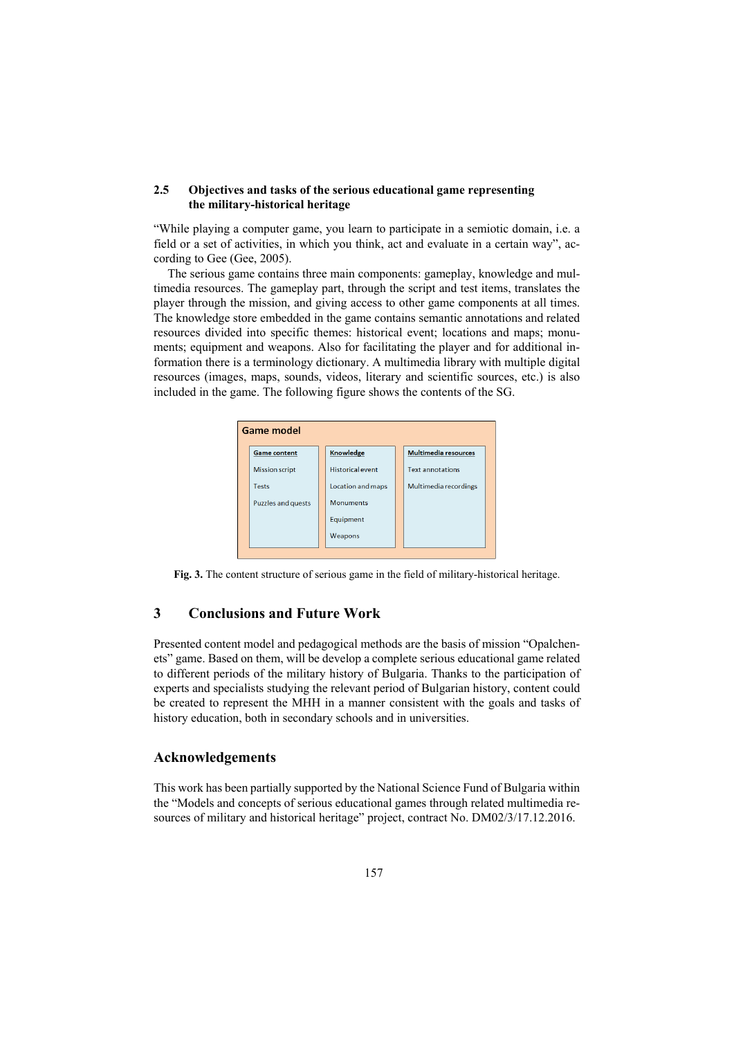## **2.5 Objectives and tasks of the serious educational game representing the military-historical heritage**

"While playing a computer game, you learn to participate in a semiotic domain, i.e. a field or a set of activities, in which you think, act and evaluate in a certain way", according to Gee (Gee, 2005).

The serious game contains three main components: gameplay, knowledge and multimedia resources. The gameplay part, through the script and test items, translates the player through the mission, and giving access to other game components at all times. The knowledge store embedded in the game contains semantic annotations and related resources divided into specific themes: historical event; locations and maps; monuments; equipment and weapons. Also for facilitating the player and for additional information there is a terminology dictionary. A multimedia library with multiple digital resources (images, maps, sounds, videos, literary and scientific sources, etc.) is also included in the game. The following figure shows the contents of the SG.



**Fig. 3.** The content structure of serious game in the field of military-historical heritage.

# **3 Conclusions and Future Work**

Presented content model and pedagogical methods are the basis of mission "Opalchenets" game. Based on them, will be develop a complete serious educational game related to different periods of the military history of Bulgaria. Thanks to the participation of experts and specialists studying the relevant period of Bulgarian history, content could be created to represent the MHH in a manner consistent with the goals and tasks of history education, both in secondary schools and in universities.

## **Acknowledgements**

This work has been partially supported by the National Science Fund of Bulgaria within the "Models and concepts of serious educational games through related multimedia resources of military and historical heritage" project, contract No. DM02/3/17.12.2016.